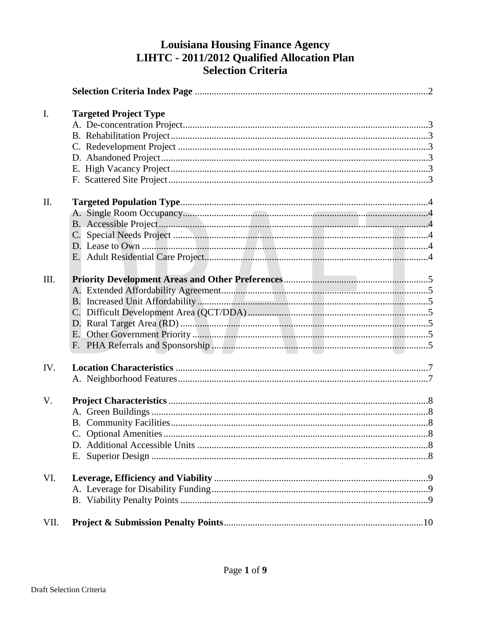# **Louisiana Housing Finance Agency** LIHTC - 2011/2012 Qualified Allocation Plan **Selection Criteria**

| I.          | <b>Targeted Project Type</b> |  |
|-------------|------------------------------|--|
|             |                              |  |
|             |                              |  |
|             |                              |  |
|             |                              |  |
|             |                              |  |
|             |                              |  |
| II.         |                              |  |
|             |                              |  |
|             |                              |  |
|             |                              |  |
|             |                              |  |
|             |                              |  |
|             |                              |  |
| III.        |                              |  |
|             |                              |  |
|             |                              |  |
|             |                              |  |
|             |                              |  |
|             |                              |  |
|             |                              |  |
| IV.         |                              |  |
|             |                              |  |
|             |                              |  |
| $V_{\cdot}$ |                              |  |
|             |                              |  |
|             |                              |  |
|             |                              |  |
|             |                              |  |
|             |                              |  |
| VI.         |                              |  |
|             |                              |  |
|             |                              |  |
| VII.        |                              |  |
|             |                              |  |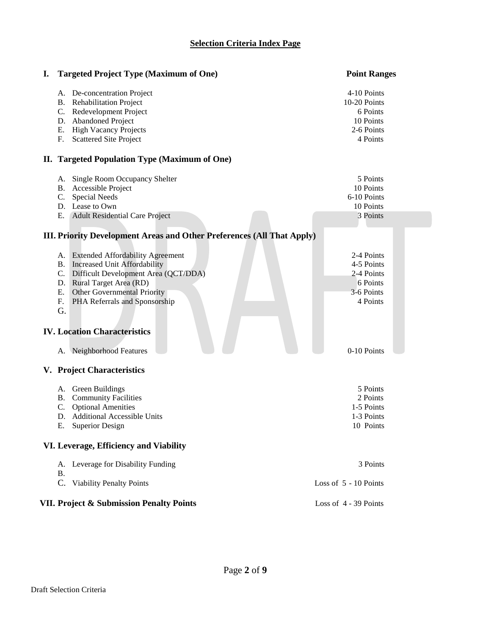### **Selection Criteria Index Page**

| I. Targeted Project Type (Maximum of One)                                                                                                                                                                                                                                                         | <b>Point Ranges</b>                                                            |  |
|---------------------------------------------------------------------------------------------------------------------------------------------------------------------------------------------------------------------------------------------------------------------------------------------------|--------------------------------------------------------------------------------|--|
| A. De-concentration Project<br><b>Rehabilitation Project</b><br><b>B.</b><br>Redevelopment Project<br>C.<br><b>Abandoned Project</b><br>D.<br><b>High Vacancy Projects</b><br>Ε.<br><b>Scattered Site Project</b><br>F.                                                                           | 4-10 Points<br>10-20 Points<br>6 Points<br>10 Points<br>2-6 Points<br>4 Points |  |
| II. Targeted Population Type (Maximum of One)                                                                                                                                                                                                                                                     |                                                                                |  |
| Single Room Occupancy Shelter<br>A.<br>Accessible Project<br>B.<br><b>Special Needs</b><br>C.<br>Lease to Own<br>D.<br><b>Adult Residential Care Project</b><br>Ε.                                                                                                                                | 5 Points<br>10 Points<br>6-10 Points<br>10 Points<br>3 Points                  |  |
| <b>III. Priority Development Areas and Other Preferences (All That Apply)</b>                                                                                                                                                                                                                     |                                                                                |  |
| <b>Extended Affordability Agreement</b><br>A.<br>Increased Unit Affordability<br><b>B.</b><br>Difficult Development Area (QCT/DDA)<br>C.<br>Rural Target Area (RD)<br>D.<br>Other Governmental Priority<br>Ε.<br>PHA Referrals and Sponsorship<br>F.<br>G.<br><b>IV. Location Characteristics</b> | 2-4 Points<br>4-5 Points<br>2-4 Points<br>6 Points<br>3-6 Points<br>4 Points   |  |
| A. Neighborhood Features                                                                                                                                                                                                                                                                          | 0-10 Points                                                                    |  |
|                                                                                                                                                                                                                                                                                                   |                                                                                |  |
| V. Project Characteristics                                                                                                                                                                                                                                                                        |                                                                                |  |
| Green Buildings<br>А.<br><b>Community Facilities</b><br>Β.<br><b>Optional Amenities</b><br>C.<br>D. Additional Accessible Units<br>E. Superior Design                                                                                                                                             | 5 Points<br>2 Points<br>1-5 Points<br>1-3 Points<br>10 Points                  |  |
| VI. Leverage, Efficiency and Viability                                                                                                                                                                                                                                                            |                                                                                |  |
| A. Leverage for Disability Funding<br><b>B.</b>                                                                                                                                                                                                                                                   | 3 Points                                                                       |  |
| C. Viability Penalty Points                                                                                                                                                                                                                                                                       | Loss of 5 - 10 Points                                                          |  |
| VII. Project & Submission Penalty Points                                                                                                                                                                                                                                                          | Loss of 4 - 39 Points                                                          |  |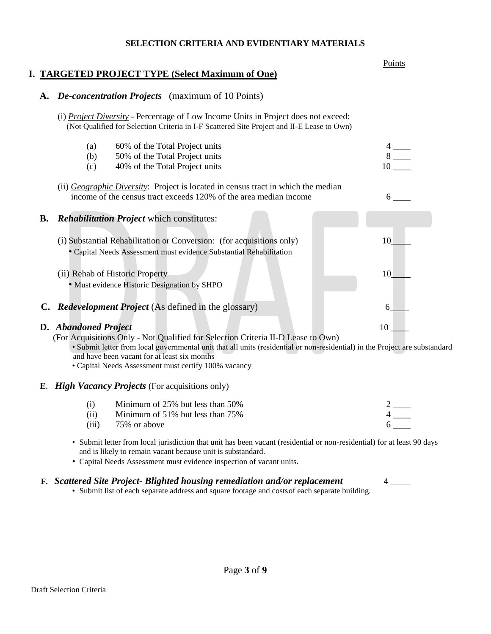#### **SELECTION CRITERIA AND EVIDENTIARY MATERIALS**

| I. TARGETED PROJECT TYPE (Select Maximum of One)                                                                                                                                                                                                                                                                                                       | Points                                                                                         |
|--------------------------------------------------------------------------------------------------------------------------------------------------------------------------------------------------------------------------------------------------------------------------------------------------------------------------------------------------------|------------------------------------------------------------------------------------------------|
| A. De-concentration Projects (maximum of 10 Points)                                                                                                                                                                                                                                                                                                    |                                                                                                |
| (i) Project Diversity - Percentage of Low Income Units in Project does not exceed:<br>(Not Qualified for Selection Criteria in I-F Scattered Site Project and II-E Lease to Own)                                                                                                                                                                       |                                                                                                |
| 60% of the Total Project units<br>(a)<br>(b)<br>50% of the Total Project units                                                                                                                                                                                                                                                                         | $\begin{array}{c}\n4 \\ 8 \overline{\phantom{0}10} \\ 10 \overline{\phantom{0}1}\n\end{array}$ |
| 40% of the Total Project units<br>(c)                                                                                                                                                                                                                                                                                                                  |                                                                                                |
| (ii) Geographic Diversity: Project is located in census tract in which the median<br>income of the census tract exceeds 120% of the area median income                                                                                                                                                                                                 | 6 —                                                                                            |
| <b>Rehabilitation Project which constitutes:</b><br><b>B.</b>                                                                                                                                                                                                                                                                                          |                                                                                                |
| (i) Substantial Rehabilitation or Conversion: (for acquisitions only)<br>· Capital Needs Assessment must evidence Substantial Rehabilitation                                                                                                                                                                                                           | 10                                                                                             |
| (ii) Rehab of Historic Property<br>· Must evidence Historic Designation by SHPO                                                                                                                                                                                                                                                                        | 10                                                                                             |
| C. Redevelopment Project (As defined in the glossary)                                                                                                                                                                                                                                                                                                  | 6                                                                                              |
| <b>D.</b> Abandoned Project<br>(For Acquisitions Only - Not Qualified for Selection Criteria II-D Lease to Own)<br>· Submit letter from local governmental unit that all units (residential or non-residential) in the Project are substandard<br>and have been vacant for at least six months<br>• Capital Needs Assessment must certify 100% vacancy | 10                                                                                             |
| E. High Vacancy Projects (For acquisitions only)                                                                                                                                                                                                                                                                                                       |                                                                                                |
| Minimum of 25% but less than 50%<br>(i)<br>Minimum of 51% but less than 75%<br>(ii)<br>(iii)<br>75% or above                                                                                                                                                                                                                                           | $\frac{2}{4}$ —                                                                                |
| • Submit letter from local jurisdiction that unit has been vacant (residential or non-residential) for at least 90 days<br>and is likely to remain vacant because unit is substandard.                                                                                                                                                                 |                                                                                                |

• Capital Needs Assessment must evidence inspection of vacant units.

## **F.** *Scattered Site Project- Blighted housing remediation and/or replacement* 4 \_\_\_\_

• Submit list of each separate address and square footage and costsof each separate building.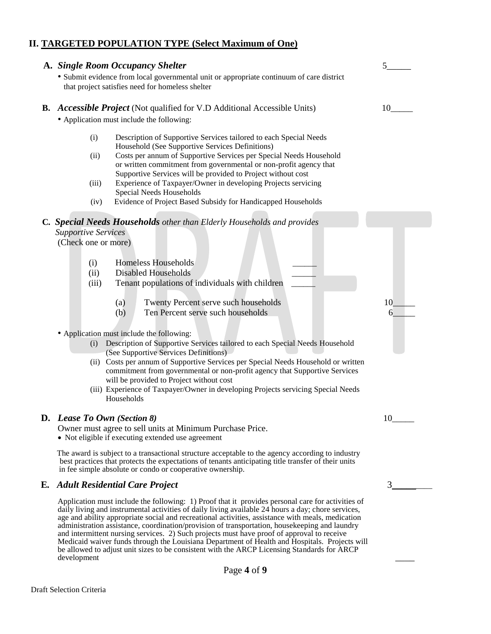# **II. TARGETED POPULATION TYPE (Select Maximum of One)**

| A. Single Room Occupancy Shelter                                                                                                                                                                                                                                                                                                                                                                                                                                                                                                                                                                                                                                                                                           |    |
|----------------------------------------------------------------------------------------------------------------------------------------------------------------------------------------------------------------------------------------------------------------------------------------------------------------------------------------------------------------------------------------------------------------------------------------------------------------------------------------------------------------------------------------------------------------------------------------------------------------------------------------------------------------------------------------------------------------------------|----|
| · Submit evidence from local governmental unit or appropriate continuum of care district<br>that project satisfies need for homeless shelter                                                                                                                                                                                                                                                                                                                                                                                                                                                                                                                                                                               |    |
| <b>B.</b> Accessible Project (Not qualified for V.D Additional Accessible Units)<br>• Application must include the following:                                                                                                                                                                                                                                                                                                                                                                                                                                                                                                                                                                                              | 10 |
| (i)<br>Description of Supportive Services tailored to each Special Needs<br>Household (See Supportive Services Definitions)<br>Costs per annum of Supportive Services per Special Needs Household<br>(ii)<br>or written commitment from governmental or non-profit agency that<br>Supportive Services will be provided to Project without cost<br>Experience of Taxpayer/Owner in developing Projects servicing<br>(iii)<br>Special Needs Households<br>Evidence of Project Based Subsidy for Handicapped Households<br>(iv)                                                                                                                                                                                               |    |
| C. Special Needs Households other than Elderly Households and provides<br><b>Supportive Services</b><br>(Check one or more)                                                                                                                                                                                                                                                                                                                                                                                                                                                                                                                                                                                                |    |
| <b>Homeless Households</b><br>(i)<br><b>Disabled Households</b><br>(ii)<br>Tenant populations of individuals with children<br>(iii)                                                                                                                                                                                                                                                                                                                                                                                                                                                                                                                                                                                        |    |
| Twenty Percent serve such households<br>(a)<br>Ten Percent serve such households<br>(b)                                                                                                                                                                                                                                                                                                                                                                                                                                                                                                                                                                                                                                    | 10 |
| • Application must include the following:<br>(i) Description of Supportive Services tailored to each Special Needs Household<br>(See Supportive Services Definitions)<br>(ii) Costs per annum of Supportive Services per Special Needs Household or written<br>commitment from governmental or non-profit agency that Supportive Services<br>will be provided to Project without cost<br>(iii) Experience of Taxpayer/Owner in developing Projects servicing Special Needs<br>Households                                                                                                                                                                                                                                   |    |
| D. Lease To Own (Section 8)<br>Owner must agree to sell units at Minimum Purchase Price.<br>• Not eligible if executing extended use agreement                                                                                                                                                                                                                                                                                                                                                                                                                                                                                                                                                                             | 10 |
| The award is subject to a transactional structure acceptable to the agency according to industry<br>best practices that protects the expectations of tenants anticipating title transfer of their units<br>in fee simple absolute or condo or cooperative ownership.                                                                                                                                                                                                                                                                                                                                                                                                                                                       |    |
| <b>E.</b> Adult Residential Care Project                                                                                                                                                                                                                                                                                                                                                                                                                                                                                                                                                                                                                                                                                   | 3  |
| Application must include the following: 1) Proof that it provides personal care for activities of<br>daily living and instrumental activities of daily living available 24 hours a day; chore services,<br>age and ability appropriate social and recreational activities, assistance with meals, medication<br>administration assistance, coordination/provision of transportation, housekeeping and laundry<br>and intermittent nursing services. 2) Such projects must have proof of approval to receive<br>Medicaid waiver funds through the Louisiana Department of Health and Hospitals. Projects will<br>be allowed to adjust unit sizes to be consistent with the ARCP Licensing Standards for ARCP<br>development |    |
| Page 4 of 9                                                                                                                                                                                                                                                                                                                                                                                                                                                                                                                                                                                                                                                                                                                |    |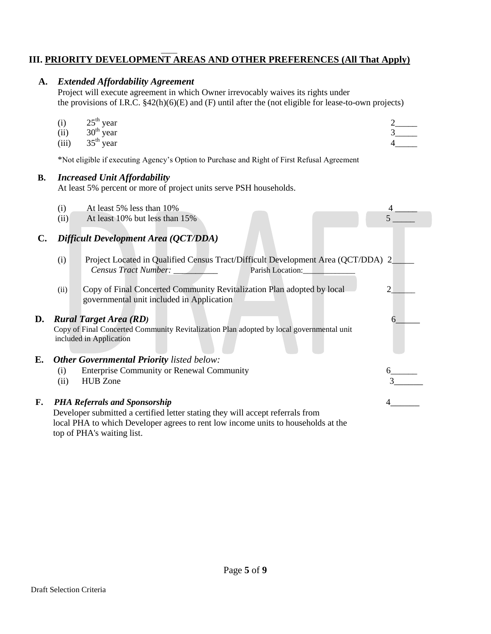## \_\_\_\_ **III. PRIORITY DEVELOPMENT AREAS AND OTHER PREFERENCES (All That Apply)**

# **A.** *Extended Affordability Agreement*

Project will execute agreement in which Owner irrevocably waives its rights under the provisions of I.R.C. §42(h)(6)(E) and (F) until after the (not eligible for lease-to-own projects)

(i)  $25^{th}$  year  $2$  and  $2 \neq 2$  and  $2 \neq 2$  and  $2 \neq 2$  and  $2 \neq 2$  and  $2 \neq 2$  and  $2 \neq 2$  and  $2 \neq 2$  and  $2 \neq 2$  and  $2 \neq 2$  and  $2 \neq 2$  and  $2 \neq 2$  and  $2 \neq 2$  and  $2 \neq 2$  and  $2 \neq 2$  and  $2 \neq 2$  and (ii)  $30^{\text{th}}$  year  $3\text{--}$ (iii)  $35^{\text{th}}$  year  $4$  4

|                | *Not eligible if executing Agency's Option to Purchase and Right of First Refusal Agreement                                                                                                                 |  |  |
|----------------|-------------------------------------------------------------------------------------------------------------------------------------------------------------------------------------------------------------|--|--|
| <b>B.</b>      | <b>Increased Unit Affordability</b><br>At least 5% percent or more of project units serve PSH households.                                                                                                   |  |  |
|                | At least 5% less than 10%<br>(i)<br>At least 10% but less than 15%<br>(ii)                                                                                                                                  |  |  |
| $\mathbf{C}$ . | Difficult Development Area (QCT/DDA)                                                                                                                                                                        |  |  |
|                | Project Located in Qualified Census Tract/Difficult Development Area (QCT/DDA) 2<br>(i)<br>Census Tract Number: _________<br>Parish Location:                                                               |  |  |
|                | Copy of Final Concerted Community Revitalization Plan adopted by local<br>(ii)<br>governmental unit included in Application                                                                                 |  |  |
| D.             | <b>Rural Target Area (RD)</b><br>6.<br>Copy of Final Concerted Community Revitalization Plan adopted by local governmental unit<br>included in Application                                                  |  |  |
| Е.             | <b>Other Governmental Priority listed below:</b>                                                                                                                                                            |  |  |
|                | <b>Enterprise Community or Renewal Community</b><br>(i)<br><b>HUB</b> Zone<br>(ii)                                                                                                                          |  |  |
| F.             | <b>PHA Referrals and Sponsorship</b><br>Developer submitted a certified letter stating they will accept referrals from<br>local PHA to which Developer agrees to rent low income units to households at the |  |  |

top of PHA's waiting list.

Draft Selection Criteria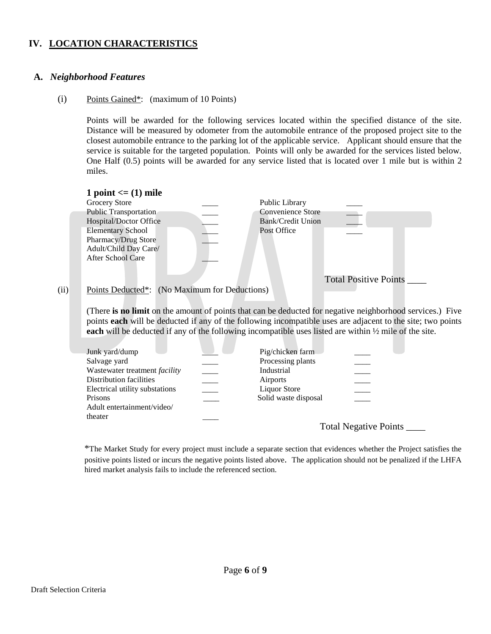### **IV. LOCATION CHARACTERISTICS**

#### **A.** *Neighborhood Features*

#### (i) Points Gained\*: (maximum of 10 Points)

Points will be awarded for the following services located within the specified distance of the site. Distance will be measured by odometer from the automobile entrance of the proposed project site to the closest automobile entrance to the parking lot of the applicable service. Applicant should ensure that the service is suitable for the targeted population. Points will only be awarded for the services listed below. One Half (0.5) points will be awarded for any service listed that is located over 1 mile but is within 2 miles.

|      | 1 point $\leq$ = (1) mile                     |                   |                              |  |
|------|-----------------------------------------------|-------------------|------------------------------|--|
|      | Grocery Store                                 | Public Library    |                              |  |
|      | <b>Public Transportation</b>                  | Convenience Store |                              |  |
|      | Hospital/Doctor Office                        | Bank/Credit Union |                              |  |
|      | <b>Elementary School</b>                      | Post Office       |                              |  |
|      | Pharmacy/Drug Store                           |                   |                              |  |
|      | Adult/Child Day Care/                         |                   |                              |  |
|      | After School Care                             |                   |                              |  |
|      |                                               |                   |                              |  |
|      |                                               |                   | <b>Total Positive Points</b> |  |
| (ii) | Points Deducted*: (No Maximum for Deductions) |                   |                              |  |

(There **is no limit** on the amount of points that can be deducted for negative neighborhood services.) Five points **each** will be deducted if any of the following incompatible uses are adjacent to the site; two points **each** will be deducted if any of the following incompatible uses listed are within  $\frac{1}{2}$  mile of the site.

#### Junk yard/dump **Definition** Pig/chicken farm Salvage yard **Example 2018** Processing plants **Processing plants** Processing plants Wastewater treatment *facility* \_\_\_\_ Industrial \_\_\_\_ Distribution facilities \_\_\_\_\_ \_\_\_ Airports Electrical utility substations <br> Liquor Store Prisons **Example 2.1** Solid waste disposal Solid waste disposal Adult entertainment/video/ theater

Total Negative Points \_\_\_\_

\*The Market Study for every project must include a separate section that evidences whether the Project satisfies the positive points listed or incurs the negative points listed above. The application should not be penalized if the LHFA hired market analysis fails to include the referenced section.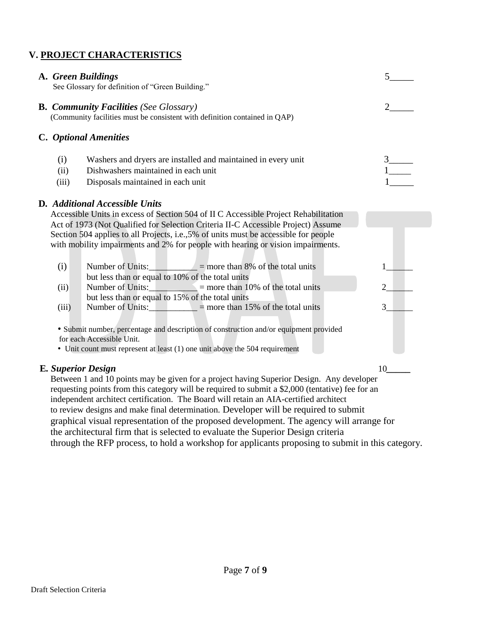## **V. PROJECT CHARACTERISTICS**

|                           | A. Green Buildings<br>See Glossary for definition of "Green Building."                                                                                                                                                                                                                                                                              |                |
|---------------------------|-----------------------------------------------------------------------------------------------------------------------------------------------------------------------------------------------------------------------------------------------------------------------------------------------------------------------------------------------------|----------------|
|                           | <b>B. Community Facilities (See Glossary)</b><br>(Community facilities must be consistent with definition contained in QAP)                                                                                                                                                                                                                         |                |
|                           | C. Optional Amenities                                                                                                                                                                                                                                                                                                                               |                |
| (i)<br>(ii)<br>(iii)      | Washers and dryers are installed and maintained in every unit<br>Dishwashers maintained in each unit<br>Disposals maintained in each unit<br>D. Additional Accessible Units                                                                                                                                                                         |                |
|                           | Accessible Units in excess of Section 504 of II C Accessible Project Rehabilitation<br>Act of 1973 (Not Qualified for Selection Criteria II-C Accessible Project) Assume<br>Section 504 applies to all Projects, i.e., 5% of units must be accessible for people<br>with mobility impairments and 2% for people with hearing or vision impairments. |                |
| (i)                       | Number of Units: $\_\_$ = more than 8% of the total units<br>but less than or equal to 10% of the total units                                                                                                                                                                                                                                       |                |
| (ii)                      | Number of Units: $\qquad$ = more than 10% of the total units<br>but less than or equal to 15% of the total units                                                                                                                                                                                                                                    | $\overline{2}$ |
| (iii)                     | Number of Units: $\_\_$ = more than 15% of the total units                                                                                                                                                                                                                                                                                          | 3 <sup>1</sup> |
|                           | • Submit number, percentage and description of construction and/or equipment provided<br>for each Accessible Unit.                                                                                                                                                                                                                                  |                |
|                           | • Unit count must represent at least (1) one unit above the 504 requirement                                                                                                                                                                                                                                                                         |                |
| <b>E.</b> Superior Design | Between 1 and 10 points may be given for a project having Superior Design. Any developer<br>requesting points from this category will be required to submit a \$2,000 (tentative) fee for an<br>independent architect certification. The Board will retain an AIA-certified architect                                                               | 10             |

independent architect certification. The Board will retain an AIA-certified architect to review designs and make final determination*.* Developer will be required to submit graphical visual representation of the proposed development. The agency will arrange for the architectural firm that is selected to evaluate the Superior Design criteria through the RFP process, to hold a workshop for applicants proposing to submit in this category.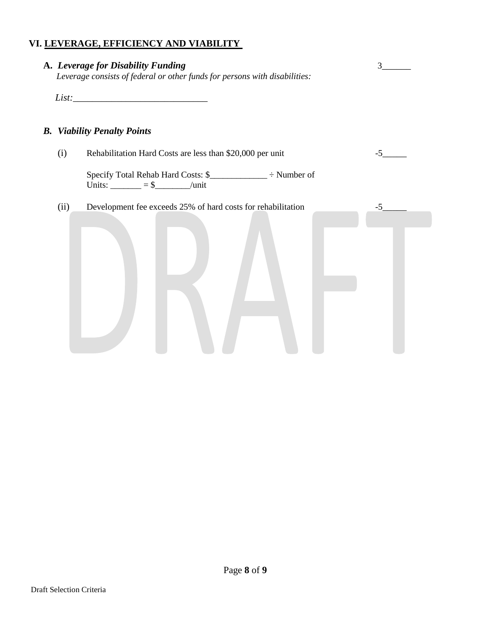## **VI. LEVERAGE, EFFICIENCY AND VIABILITY**

|      | A. Leverage for Disability Funding<br>Leverage consists of federal or other funds for persons with disabilities: | 3    |
|------|------------------------------------------------------------------------------------------------------------------|------|
|      |                                                                                                                  |      |
|      | <b>B.</b> Viability Penalty Points                                                                               |      |
| (i)  | Rehabilitation Hard Costs are less than \$20,000 per unit                                                        | $-5$ |
|      | Units: $\_\_\_\_\_\_\_=\$ \$ $\_\_\_\_\$                                                                         |      |
| (ii) | Development fee exceeds 25% of hard costs for rehabilitation                                                     | $-5$ |